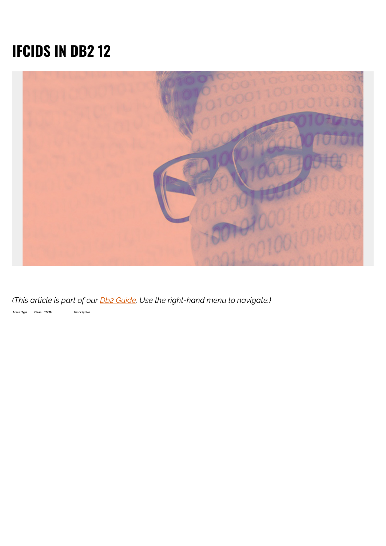## **IFCIDS IN DB2 12**



*(This article is part of our [Db2 Guide.](https://blogs.bmc.com/blogs/db2-introduction/) Use the right-hand menu to navigate.)*

**Trace Type Class IFCID Description**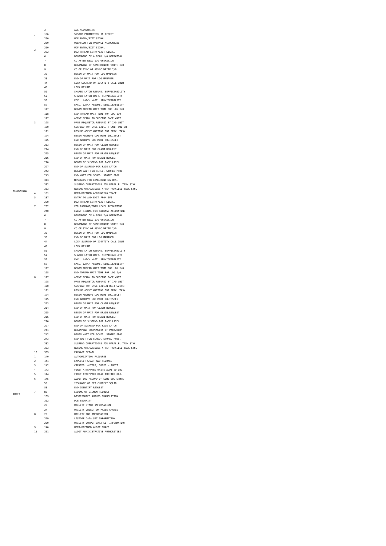|                | 3              | ALL ACCOUNTING                                                          |
|----------------|----------------|-------------------------------------------------------------------------|
| $\overline{1}$ | 106            | SYSTEM PARAMETERS IN EFFECT                                             |
|                | 200            | UDF ENTRY/EXIT SIGNAL                                                   |
|                | 239            | OVERFLOW FOR PACKAGE ACCOUNTING                                         |
|                | 200            | UDF ENTRY/EXIT SIGNAL                                                   |
| 2              | 232            | DB2 THREAD ENTRY/EXIT SIGNAL                                            |
|                | 6              | BEGINNING OF A READ 1/0 OPERATION                                       |
|                | $\overline{7}$ | CC AFTER READ I/O OPERATION                                             |
|                | 8              | BEGINNING OF SYNCHRONOUS WRITE I/O                                      |
|                | 9              | CC OF SYNC OR ASYNC WRITE I/O                                           |
|                | 32             | BEGIN OF WAIT FOR LOG MANAGER                                           |
|                | 33             | END OF WAIT FOR LOG MANAGER                                             |
|                | 44             | LOCK SUSPEND OR IDENTITY CALL IRLM                                      |
|                | 45             | LOCK RESUME                                                             |
|                | 51             | SHARED LATCH RESUME. SERVICEABILITY                                     |
|                | 52             | SHARED LATCH WAIT. SERVICEABILITY                                       |
|                | 56             | ECXL. LATCH WAIT. SERVICEABILITY                                        |
|                | 57             | EXCL. LATCH RESUME. SERVICEABILITY                                      |
|                | 117            | BEGIN THREAD WAIT TIME FOR LOG I/O                                      |
|                | 118            | END THREAD WAIT TIME FOR LOG I/O                                        |
|                | 127            | AGENT READY TO SUSPEND PAGE WAIT                                        |
| R              | 128            | PAGE REQUESTOR RESUMED BY I/O UNIT                                      |
|                | 170            | SUSPEND FOR SYNC EXEC. N UNIT SWITCH                                    |
|                | 171            | RESUME AGENT WAITING DB2 SERV. TASK                                     |
|                | 174            | BEGIN ARCHIVE LOG MODE (QUIESCE)                                        |
|                | 175            | END ARCHIVE LOG MODE (QUIESCE)                                          |
|                | 213            | BEGIN OF WAIT FOR CLAIM REQUEST                                         |
|                | 214            | END OF WAIT FOR CLAIM REQUEST                                           |
|                | 215            | BEGIN OF WAIT FOR DRAIN REQUEST                                         |
|                | 216            | END OF WAIT FOR DRAIN REQUEST                                           |
|                | 226            | BEGIN OF SUSPEND FOR PAGE LATCH                                         |
|                | 227            | END OF SUSPEND FOR PAGE LATCH                                           |
|                | 242            | BEGIN WAIT FOR SCHED. STORED PROC.                                      |
|                | 243            | END WAIT FOR SCHED. STORED PROC.                                        |
|                | 313            | MESSAGES FOR LONG-RUNNING URS.                                          |
|                | 382            | SUSPEND OPERATIOINS FOR PARALLEL TASK SYNC                              |
|                | 383            | RESUME OPERATIOINS AFTER PARALLEL TASK SYNC                             |
| 4              | 151            | USER-DEFINED ACCOUNTING TRACE                                           |
| 5              | 187            | ENTRY TO AND EXIT FROM IFI                                              |
|                | 200            | DB2 THREAD ENTRY/EXIT SIGNAL                                            |
| 7              | 232            | FOR PACKAGE/DBRM LEVEL ACCOUNTING                                       |
|                | 240            | EVENT SIGNAL FOR PACKAGE ACCOUNTING                                     |
|                | 6              | BEGINNING OF A READ I/O OPERATION                                       |
|                | $\overline{7}$ | CC AFTER READ I/O OPERATION                                             |
|                | 8              | BEGINNING OF SYNCHRONOUS WRITE I/O                                      |
|                | q              | CC OF SYNC OR ASYNC WRITE I/O                                           |
|                | 32             | BEGIN OF WAIT FOR LOG MANAGER                                           |
|                | 33             | END OF WAIT FOR LOG MANAGER                                             |
|                | 44             | LOCK SUSPEND OR IDENTITY CALL IRLM                                      |
|                | 45             | LOCK RESUME                                                             |
|                | 51             | SHARED LATCH RESUME. SERVICEABILITY                                     |
|                | 52             | SHARED LATCH WAIT. SERVICEABILITY<br>EXCL. LATCH WAIT. SERVICEABILITY   |
|                |                |                                                                         |
|                | 56             |                                                                         |
|                | 57             | EXCL. LATCH RESUME. SERVICEABILITY                                      |
|                | 117            | BEGIN THREAD WAIT TIME FOR LOG I/O                                      |
|                | 118            | END THREAD WAIT TIME FOR LOG I/O                                        |
| g              | 127            | AGENT READY TO SUSPEND PAGE WAIT                                        |
|                | 128<br>170     | PAGE REQUESTOR RESUMED BY I/O UNIT                                      |
|                | 171            | SUSPEND FOR SYNC EXEC.N UNIT SWITCH                                     |
|                | 174            | RESUME AGENT WAITING DB2 SERV. TASK<br>BEGIN ARCHIVE LOG MODE (QUIESCE) |
|                | 175            | END ARCHIVE LOG MODE (QUIESCE)                                          |
|                | 213            | BEGIN OF WAIT FOR CLAIM REQUEST                                         |
|                | 214            | END OF WAIT FOR CLAIM REQUEST                                           |
|                | 215            | BEGIN OF WAIT FOR DRAIN REQUEST                                         |
|                | 216            | END OF WAIT FOR DRAIN REQUEST                                           |
|                | 226            | BEGIN OF SUSPEND FOR PAGE LATCH                                         |
|                | 227            | END OF SUSPEND FOR PAGE LATCH                                           |
|                | 241            | BEGIN/END SUSPENSION OF PACK/DBRM                                       |
|                | 242            | BEGIN WAIT FOR SCHED. STORED PROC.                                      |
|                | 243            | END WAIT FOR SCHED. STORED PROC.                                        |
|                | 382            | SUSPEND OPERATIOINS FOR PARALLEL TASK SYNC                              |
|                | 383            | RESUME OPERATIOINS AFTER PARALLEL TASK SYNC                             |
| 10             | 339            | PACKAGE DETAIL                                                          |
| $\mathbf{1}$   | 140            | AUTHORIZATION FAILURES                                                  |
| 2<br>3         | 141<br>142     | EXPLICIT GRANT AND REVOKES                                              |
|                | 143            | CREATES, ALTERS, DROPS - AUDIT                                          |
| 4<br>5         | 144            | FIRST ATTEMPTED WRITE AUDITED OBJ.<br>FIRST ATTEMPTED READ AUDITED OBJ. |
| 6              | 145            | AUDIT LOG RECORD OF SOME SQL STMTS                                      |
|                | 55             | ISSUANCE OF SET CURRENT SQLID                                           |
|                | 83             | END IDENTIFY REQUEST                                                    |
| 7              | 87             | ENDING OF SIGNON REQUEST                                                |
|                | 169            | DISTRIBUTED AUTHID TRANSLATION                                          |
|                | 312            | DCE SECURITY                                                            |
|                | 23             | UTILITY START INFORMATION                                               |
|                | 24             | UTILITY OBJECT OR PHASE CHANGE                                          |
| 8              | 25             | UTILITY END INFORMATION                                                 |
|                | 219            | LISTDEF DATA SET INFORMATION                                            |
|                | 220            | UTILITY OUTPUT DATA SET INFORMATION                                     |
| 9<br>11        | 146<br>361     | USER-DEFINED AUDIT TRACE<br>AUDIT ADMINISTRATIVE AUTHORITIES            |

ACCOUNTING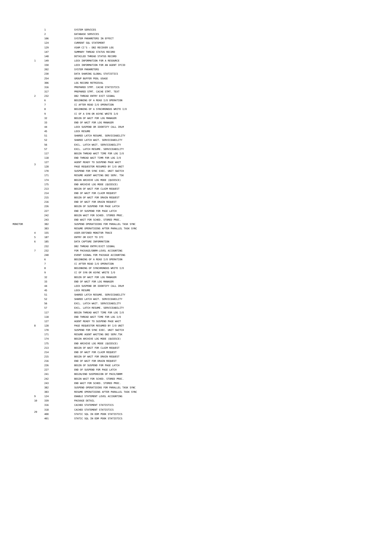|                | $\mathbf{1}$   | SYSTEM SERVICES                                                        |
|----------------|----------------|------------------------------------------------------------------------|
|                | $\mathcal{P}$  | DATABASE SERVICES                                                      |
|                | 106            | SYSTEM PARAMETERS IN EFFECT                                            |
|                | 124            | CURRENT SQL STATEMENT                                                  |
|                | 129            | VSAM CI'S - DB2 RECOVER LOG                                            |
|                | 147            | SUMMARY THREAD STATUS RECORD                                           |
| $\overline{1}$ | 148<br>149     | DETAILED THREAD STATUS RECORD                                          |
|                | 150            | LOCK INFORMATION FOR A RESOURCE<br>LOCK INFORMATION FOR AN AGENT IFCID |
|                | 202            | SYSTEM PARAMETERS                                                      |
|                | 230            | DATA SHARING GLOBAL STATISTICS                                         |
|                | 254            | GROUP BUFFER POOL USAGE                                                |
|                | 306            | LOG RECORD RETRIEVAL                                                   |
|                | 316            | PREPARED STMT. CACHE STATISTICS                                        |
|                | 317            | PREPARED STMT. CACHE STMT. TEXT                                        |
| $\overline{2}$ | 232            | DB2 THREAD ENTRY EXIT SIGNAL                                           |
|                | 6              | BEGINNING OF A READ I/O OPERATION                                      |
|                | $\overline{7}$ | CC AFTER READ I/O OPERATION                                            |
|                | 8              | BEGINNING OF A SYNCHRONOUS WRITE I/O                                   |
|                | q              | CC OF A SYN OR ASYNC WRITE I/O                                         |
|                | 32<br>33       | BEGIN OF WAIT FOR LOG MANAGER<br>END OF WAIT FOR LOG MANAGER           |
|                | 44             | LOCK SUSPEND OR IDENTIFY CALL IRLM                                     |
|                | 45             | LOCK RESUME                                                            |
|                | 51             | SHARED LATCH RESUME. SERVICEABILITY                                    |
|                | 52             | SHARED LATCH WAIT. SERVICEABILITY                                      |
|                | 56             | EXCL. LATCH WAIT. SERVICEABILITY                                       |
|                | 57             | EXCL. LATCH RESUME. SERVICEABILITY                                     |
|                | 117            | BEGIN THREAD WAIT TIME FOR LOG I/O                                     |
|                | 118            | END THREAD WAIT TIMR FOR LOG I/O                                       |
| R              | 127            | AGENT READY TO SUSPEND PAGE WAIT                                       |
|                | 128            | PAGE REQUESTOR RESUMED BY I/O UNIT                                     |
|                | 170            | SUSPEND FOR SYNC EXEC. UNIT SWITCH                                     |
|                | 171            | RESUME AGENT WAITING DB2 SERV. TSK                                     |
|                | 174            | BEGIN ARCHIVE LOG MODE (QUIESCE)                                       |
|                | 175            | END ARCHIVE LOG MODE (QUIESCE)<br>BEGIN OF WAIT FOR CLAIM REQUEST      |
|                | 213<br>214     | END OF WAIT FOR CLAIM REQUEST                                          |
|                | 215            | BEGIN OF WAIT FOR DRAIN REQUEST                                        |
|                | 216            | END OF WAIT FOR DRAIN REQUEST                                          |
|                | 226            | BEGIN OF SUSPEND FOR PAGE LATCH                                        |
|                | 227            | END OF SUSPEND FOR PAGE LATCH                                          |
|                | 242            | BEGIN WAIT FOR SCHED. STORED PROC.                                     |
|                | 243            | END WAIT FOR SCHED. STORED PROC.                                       |
|                | 382            | SUSPEND OPERATIOINS FOR PARALLEL TASK SYNC                             |
|                | 383            | RESUME OPERATIOINS AFTER PARALLEL TASK SYNC                            |
| 4              | 155            | USER-DEFINED MONITOR TRACE                                             |
| 5              | 187            | ENTRY OR EXIT TO IFI                                                   |
| 6              | 185            | DATA CAPTURE INFORMATION                                               |
| 7              | 232<br>232     | DB2 THREAD ENTRY/EXIT SIGNAL<br>FOR PACKAGE/DBRM-LEVEL ACCOUNTING      |
|                | 240            | EVENT SIGNAL FOR PACKAGE ACCOUNTING                                    |
|                | 6              | BEGINNING OF A READ I/O OPERATION                                      |
|                | $\overline{7}$ | CC AFTER READ I/O OPERATION                                            |
|                | $\mathbf{a}$   | BEGINNING OF SYNCHRONOUS WRITE I/O                                     |
|                | q              | CC OF SYN OR ASYNC WRITE I/O                                           |
|                | 32             | BEGIN OF WAIT FOR LOG MANAGER                                          |
|                | 33             | END OF WAIT FOR LOG MANAGER                                            |
|                | 44             | LOCK SUSPEND OR IDENTIFY CALL IRLM                                     |
|                | 45             | LOCK RESUME                                                            |
|                | 51             | SHARED LATCH RESUME. SERVICEABILITY                                    |
|                | 52<br>56       | SHARED LATCH WAIT. SERVICEABILITY<br>EXCL. LATCH WAIT. SERVICEABILITY  |
|                | 57             | EXCL. LATCH RESUME. SERVICEABILITY                                     |
|                | 117            | BEGIN THREAD WAIT TIME FOR LOG I/O                                     |
|                | 118            | END THREAD WAIT TIME FOR LOG I/O                                       |
|                | 127            | AGENT READY TO SUSPEND PAGE WAIT                                       |
| 8              | 128            | PAGE REQUESTOR RESUMED BY I/O UNIT                                     |
|                | 170            | SUSPEND FOR SYNC EXEC. UNIT SWITCH                                     |
|                | 171            | RESUME AGENT WAITING DB2 SERV.TSK                                      |
|                | 174            | BEGIN ARCHIVE LOG MODE (QUIESCE)                                       |
|                | 175            | END ARCHIVE LOG MODE (QUIESCE)                                         |
|                | 213            | BEGIN OF WAIT FOR CLAIM REQUEST                                        |
|                | 214<br>215     | END OF WAIT FOR CLAIM REQUEST                                          |
|                | 216            | BEGIN OF WAIT FOR DRAIN REQUEST<br>END OF WAIT FOR DRAIN REQUEST       |
|                | 226            | BEGIN OF SUSPEND FOR PAGE LATCH                                        |
|                | 227            | END OF SUSPEND FOR PAGE LATCH                                          |
|                | 241            | BEGIN/END SUSPENSION OF PACK/DBRM                                      |
|                | 242            | BEGIN WAIT FOR SCHED. STORED PROC.                                     |
|                | 243            | END WAIT FOR SCHED. STORED PROC.                                       |
|                | 382            | SUSPEND OPERATIOINS FOR PARALLEL TASK SYNC                             |
|                | 383            | RESUME OPERATIOINS AFTER PARALLEL TASK SYNC                            |
| 9              | 124            | ENABLE STATEMENT LEVEL ACCOUNTING                                      |
| 10             | 339            | PACKAGE DETAIL                                                         |
|                | 316            | CACHED STATEMENT STATISTICS                                            |
| 29             | 318            | CACHED STATEMENT STATISTICS                                            |
|                | 400            | STATIC SQL IN EDM POOK STATISTICS                                      |
|                | 401            | STATIC SQL IN EDM POOK STATISTICS                                      |

MONITOR

 $\begin{array}{c} 4 \\ 5 \\ 6 \\ 7 \end{array}$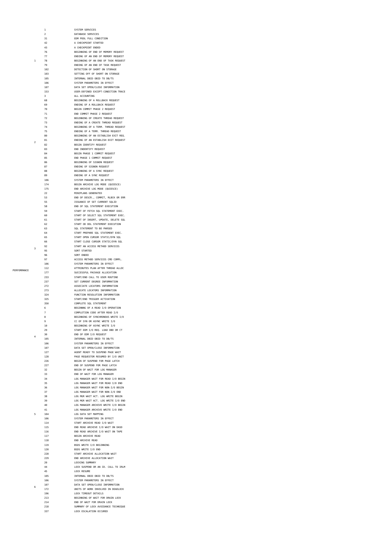1 SYSTEM SERVICES<br>2 DATABASE SERVICI DATABASE SERVICES 31 EDM POOL FULL CONDITION 42 A CHECKPOINT STARTED<br>43 A CHECKPOINT ENDED 43<br>
43<br>
A CHECKPOINT ENDED<br>
77<br>
ENDING OF AN END ON<br>
BEGINNING OF AN END ON<br>
BEGINNING OF AN END O<br>
ENDING OF AN END O<br>
DETECTION OF SHORT<br>
DETECTION OF SHORT BEGINNING OF END OF MEMORY REQUEST 77 ENDING OF AN END OF MEMORY REQUEST 78 BEGINNING OF AN END OF TASK REQUEST **ENDING OF AN END OF TASK REQUEST** 102 DETECTION OF SHORT ON STORAGE<br>103 SETTING OFF OF SHORT ON STORAGE 103 SETTING OFF OF SHORT ON STORAGE<br>105 105 INTERNAL DBID OBID TO DB/TS 105 INTERNAL DBID OBID TO DB/TS 106 SYSTEM PARAMETERS IN EFFECT<br>187 DATA SET OPEN/CLOSE TNEORMA DATA SET OPEN/CLOSE INFORMATION 153 USER-DEFINED EXCEPT-CONDITION TRACE 3 ALL ACCOUNTING 68 BEGINNING OF A ROLLBACK REQUEST ENDING OF A ROLLBACK REQUEST<br>70 BEGIN COMMIT PHASE 2 REQUEST BEGIN COMMIT PHASE 2 REQUEST T1 END COMMIT PHASE 2 REQUEST<br>72 BEGINNING OF CREATE THREAD 72 BEGINNING OF CREATE THREAD REQUEST 73 ENDING OF A CREATE THREAD REQUEST 74 BEGINNING OF A TERM. THREAD REQUEST ENDING OF A TERM. THREAD REQUEST 80 BEGINNING OF AN ESTABLISH EXIT REQ.<br>81 BINDING OF AN ESTABLISH EXIT REQUEST ENDING OF AN ESTABLISH EXIT REQUEST 82 BEGIN IDENTIFY REQUEST<br>83 END INDENTIFY REQUEST END INDENTIFY REQUEST 84 BEGIN PHASE 1 COMMIT REQUEST<br>85 END PHASE 1 COMMIT REQUEST<br>86 BEGINNING OF SIGNON REQUEST<br>87 ENDING OF SIGNON REQUEST 85 END PHASE 1 COMMIT REQUEST 86 BEGINNING OF SIGNON REQUEST 87 ENDING OF SIGNON REQUEST<br>88 BEGINNING OF A SYNC REQUI<br>89 ENDING OF A SYNC REQUEST BEGINNING OF A SYNC REQUEST 89 ENDING OF A SYNC REQUEST<br>106 SYSTEM PARAMETERS IN EFF<br>174 BEGIN ARCHIVE LOG MODE ( 106 SYSTEM PARAMETERS IN EFFECT 174 BEGIN ARCHIVE LOG MODE (QUIESCE) 175 END ARCHIVE LOG MODE (QUIESCE)<br>22 MINIPLANS GENERATED MINIPLANS GENERATED 53 END OF DESCR., COMMIT, RLBCK OR ERR<br>55 ESS END OF SOL STATEMENT SQLTD<br>59 END OF SOL STATEMENT EXEC.<br>57 END OF SOL STATEMENT EXEC.<br>57 START OF DELECT SQL STATEMENT EXEC.<br>57 START OF DRERT, UPDATE, DELET SQLTD<br>52 ISSUANCE OF SET CURRENT SQLID END OF SOL STATEMENT EXECUTION 59 START OF FETCH SQL STATEMENT EXEC. 60 START OF SELECT SQL STATEMENT EXEC. START OF INSERT, UPDATE, DELETE SOL 62<br>62 START OD DDL STATEMENT EXECUTION<br>63<br>64 START PREPARE SOL STATEMENT EXEC<br>65 START PEN CURSOR STATIC/DYN SQL SOL STATEMENT TO BE PARSED 64 START PREPARE SQL STATEMENT EXEC. 65 START OPEN CURSOR STATIC/DYN SQL EXAMPLE START CLOSE CURSOR STATIC/DYN SQL<br>92 START AN ACCESS METHOD SERVICES 92<br>
92 START AN ACCESS METHOD SERVICES<br>
95 SORT STARTED<br>
96 SORT ENDED SORT STARTED 96 SORT ENDED<br>97 ACCESS METH .<br>ACCESS METHOD SERVICES CMD COMPL. 106 SYSTEM PARAMETERS IN EFFECT 112 ATTRIBUTES PLAN AFTER THREAD ALLOC<br>177 SUCCESSFUL PACKAGE ALLOCATION 177 SUCCESSFUL PACKAGE ALLOCATION 233 START/END CALL TO USER ROUTINE 237 SET CURRENT DEGREE INFORMATION<br>272 ASSOCIATE LOCATORS INFORMATION ASSOCIATE LOCATORS INFORMATION 273 ALLOCATE LOCATORS INFORMATION<br>224 FUNCTION RESOLUTION INFORMATIO FUNCTION RESOLUTION INFORMATION 325 START/END TRIGGER ACTIVATION<br>359 START/END TRIGGER ACTIVATION 350 COMPLETE SQL STATEMENT 6 BEGINNNG OF A READ I/O OPERATION 7 COMPLETION CODE AFTER READ I/O BEGINNING OF SYNCHRONOUS WRITE I/O 9 CC OF SYN OR ASYNC WRITE I/O<br>10 BEGINNING OF ASYNC WRITE I/O BEGINNING OF ASYNC WRITE I/O 29 START EDM I/O REQ. LOAD DBD OR CT<br>20 END OF EDM I/O REQUEST<br>205 INTERNAL DBID OBID TO DB/TS 30 END OF EDM I/O REQUEST 105 INTERNAL DBID OBID TO DB/TS 106 SYSTEM PARAMETERS IN EFFECT<br>107 DATA SET OPEN/CLOSE INFORMA DATA SET OPEN/CLOSE INFORMATION 127 AGENT READY TO SUSPEND PAGE WAIT<br>128 PAGE REQUESTOR RESUMED BY I/O UN PAGE REQUESTOR RESUMED BY I/O UNIT 226 BEGIN OF SUSPEND FOR PAGE LATCH<br>227 END OF SUSPEND FOR PAGE LATCH END OF SUSPEND FOR PAGE LATCH ERECTED OF SOSTEND TON TRUE ENTERTY. 33 END OF WAIT FOR LOG MANAGER 1946 LOG MANAGER WAIT FOR READ I/O BEGIN<br>35 LOG MANAGER WAIT FOR READ I/O BEGIN<br>1966 LOG MANAGER WAIT FOR NON-I/O BEGIN<br>37 LOG MANAGER WAIT FOR NON-I/O END 35 LOG MANAGER WAIT FOR READ I/0 END 36 LOG MANAGER WAIT FOR NON-I/O BEGIN 37 LOG MANAGER WAIT FOR NON-I/O END 38 LOG MGR WAIT ACT. LOG WRITE BEGIN 39 LOG MGR WAIT ACT. LOG WRITE I/O END 40 LOG MANAGER ARCHIVE WRITE I/O BEGIN LOG MANAGER ARCHIVE WRITE I/O END 104 LOG DATA SET MAPPING<br>106 SYSTEM PARAMETERS IN I 106 SYSTEM PARAMETERS IN EFFECT 114 START ARCHIVE READ I/O WAIT 115 END READ ARCHIVE I/O WAIT ON DASD 116 END READ ARCHIVE I/O WAIT ON TAPE 117 BEGIN ARCHIVE READ 118 END ARCHIVE READ 119 BSDS WRITE I/O BEGINNING 120 BSDS WRITE I/O END 228 START ARCHIVE ALLOCATION WAIT 229 END ARCHIVE ALLOCATION WATT 20 LOCKING SUMMARY<br>44 LOCK SUSPEND OR 44 LOCK SUSPEND OR AN ID. CALL TO IRLM LOCK RESUME 105 INTERNAL DBID OBID TO DB/TS<br>106 SYSTEM PARAMETERS IN EFFECT SYSTEM PARAMETERS IN EFFECT 107 DATA SET OPEN/CLOSE INFORMATION 172 UNITS OF WORK INVOLVED IN DEADLOCK<br>196 LOCK TIMEOUT DETAILS LOCK TIMEOUT DETAILS 213 BEGINNING OF WAIT FOR DRAIN LOCK<br>214 END OF WAIT FOR DRAIN LOCK 214 END OF WAIT FOR DRAIN LOCK 218 SUMMARY OF LOCK AVOIDANCE TECHNIQUE 337 LOCK ESCALATION OCCURED

3

4

5

6

1

 $\overline{2}$ 

**PERFORMANCE**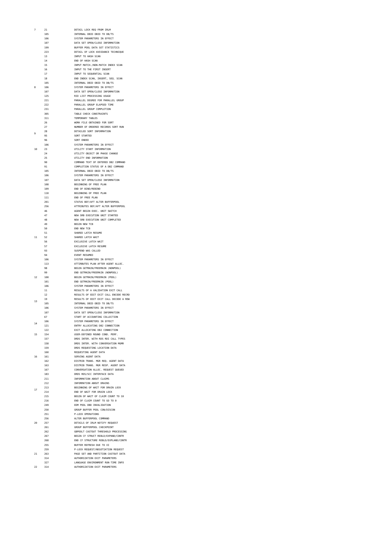| 7  | 21         | DETAIL LOCK REQ FROM IRLM                                           |
|----|------------|---------------------------------------------------------------------|
|    | 105        | INTERNAL DBID OBID TO DB/TS                                         |
|    | 106        | SYSTEM PARAMETERS IN EFFECT                                         |
|    | 107        | DATA SET OPEN/CLOSE INFORMATION                                     |
|    | 199        | BUFFER POOL DATA SET STATISTICS                                     |
|    | 223        | DETAIL OF LOCK AVOIDANCE TECHNIQUE                                  |
|    |            |                                                                     |
|    | 13         | INPUT TO HASH SCAN                                                  |
|    | 14         | END OF HASH SCAN                                                    |
|    | 15         | INPUT MATCH./NON-MATCH INDEX SCAN                                   |
|    | 16         | INPUT TO THE FIRST INSERT                                           |
|    | 17         | INPUT TO SEQUENTIAL SCAN                                            |
|    | 18         | END INDEX SCAN, INSERT, SEQ. SCAN                                   |
|    | 105        | INTERNAL DBID OBID TO DB/TS                                         |
| g  | 106        | SYSTEM PARAMETERS IN EFFECT                                         |
|    | 107        | DATA SET OPEN/CLOSE INFORMATION                                     |
|    | 125        | RID LIST PROCESSING USAGE                                           |
|    | 221        | PARALLEL DEGREE FOR PARALLEL GROUP                                  |
|    |            |                                                                     |
|    | 222        | PARALLEL GROUP ELAPSED TIME                                         |
|    | 231        | PARALLEL GROUP COMPLETION                                           |
|    | 305        | TABLE CHECK CONSTRAINTS                                             |
|    | 311        | TEMPORARY TABLES                                                    |
|    | 26         | WORK FILE OBTAINED FOR SORT                                         |
|    | 27         | NUMBER OF ORDERED RECORDS SORT RUN                                  |
|    | 28         | DETAILED SORT INFORMATION                                           |
| 9  | 95         | SORT STARTED                                                        |
|    | 96         | SORT ENDED                                                          |
|    | 106        | SYSTEM PARAMETERS IN EFFECT                                         |
| 10 | 23         | UTILITY START INFORMATION                                           |
|    |            |                                                                     |
|    | 24         | UTILITY OBJECT OR PHASE CHANGE                                      |
|    | 25         | UTILITY END INFORMATION                                             |
|    | 90         | COMMAND TEXT OF ENTERED DB2 COMMAND                                 |
|    | 91         | COMPLETION STATUS OF A DB2 COMMAND                                  |
|    | 105        | INTERNAL DBID OBID TO DB/TS                                         |
|    | 106        | SYSTEM PARAMETERS IN EFFECT                                         |
|    | 107        | DATA SET OPEN/CLOSE INFORMATION                                     |
|    | 108        | BEGINNING OF FREE PLAN                                              |
|    | 109        | END OF BIND/REBIND                                                  |
|    |            |                                                                     |
|    | 110        | BEGINNING OF FREE PLAN                                              |
|    | 111        | END OF FREE PLAN                                                    |
|    | 201        | STATUS BEF/AFT ALTER BUFFERPOOL                                     |
|    | 256        | ATTRIBUTES BEF/AFT ALTER BUFFERPOOL                                 |
|    | 46         | AGENT BEGIN EXEC. UNIT SWITCH                                       |
|    | 47         | NEW SRB EXECUTION UNIT STARTED                                      |
|    | 48         | NEW SRB EXECUTION UNIT COMPLETED                                    |
|    | 49         | BEGIN NEW TCB                                                       |
|    | 50         | END NEW TCB                                                         |
|    | 51         | SHARED LATCH RESUME                                                 |
| 11 | 52         | SHARED LATCH WAIT                                                   |
|    | 56         | EXCLUSIVE LATCH WAIT                                                |
|    | 57         | EXCLUSIVE LATCH RESUME                                              |
|    |            |                                                                     |
|    |            |                                                                     |
|    | 93         | SUSPEND WAS CALLED                                                  |
|    | 94         | EVENT RESUMED                                                       |
|    | 106        | SYSTEM PARAMETERS IN EFFECT                                         |
|    | 113        | ATTIRBUTES PLAN AFTER AGENT ALLOC.                                  |
|    | 98         | BEGIN GETMAIN/FREEMAIN (NONPOOL)                                    |
|    | 99         | END GETMAIN/FREEMAIN (NONPOOL)                                      |
| 12 | 100        | BEGIN GETMAIN/FREEMAIN (POOL)                                       |
|    | 101        | END GETMAIN/FREEMAIN (POOL)                                         |
|    | 106        | SYSTEM PARAMETERS IN EFFECT                                         |
|    | $11\,$     | RESULTS OF A VALIDATION EXIT CALL                                   |
|    | 12         | RESULTS OF EDIT EXIT CALL ENCODE RECRD                              |
|    | 19         | RESULTS OF EDIT EXIT CALL DECODE A ROW                              |
| 13 | 105        | INTERNAL DBID OBID TO DB/TS                                         |
|    | 106        | SYSTEM PARAMETERS IN EFFECT                                         |
|    | 107        | DATA SET OPEN/CLOSE INFORMATION                                     |
|    | 67         |                                                                     |
|    |            | START OF ACCOUNTING COLLECTION                                      |
| 14 | 106        | SYSTEM PARAMETERS IN EFFECT                                         |
|    | 121        | ENTRY ALLOCATING DB2 CONNECTION                                     |
|    | 122        | EXIT ALLOCATING DB2 CONNECTION                                      |
| 15 | 154        | USER-DEFINED ROUND COND. PERF.                                      |
|    | 157        | DRDS INTER. WITH RDS RDI CALL TYPES                                 |
|    | 158        | DRDS INTER. WITH CONVERSATION MGMR                                  |
|    | 159        | DRDS REQUESTING LOCATION DATA                                       |
|    | 160        | REQUESTING AGENT DATA                                               |
| 16 | 161        | SERVING AGENT DATA                                                  |
|    | 162        | DISTRIB TRANS. MGR REQ. AGENT DATA                                  |
|    | 163        | DISTRIB TRANS. MGR RESP. AGENT DATA                                 |
|    | 167        | CONVERSATION ALLOC. REQUEST QUEUED                                  |
|    | 183        | DRDS RDS/SCC INTERFACE DATA                                         |
|    | 211        | INFORMATION ABOUT CLAIMS                                            |
|    | 212        | INFORMATION ABOUT DRAINS                                            |
|    | 213        | BEGINNING OF WAIT FOR DRAIN LOCK                                    |
| 17 | 214        |                                                                     |
|    |            | END OF WAIT FOR DRAIN LOCK                                          |
|    | 215        | BEGIN OF WAIT OF CLAIM COUNT TO 10                                  |
|    | 216        | END OF CLAIM COUNT TO GO TO 0                                       |
|    | 249        | EDM POOL DBD INVALIDATION                                           |
|    | 250        | GROUP BUFFER POOL CON/DISCON                                        |
|    | 251        | P-LOCK OPERATIONS                                                   |
|    | 256        | ALTER BUFFERPOOL COMMAND                                            |
| 20 | 257        | DETAILS OF IRLM NOTIFY REQUEST                                      |
|    | 261        | GROUP BUFFERPOOL CHECKPOINT                                         |
|    | 262        | GBPOOLT CASTOUT THRESHOLD PROCESSING                                |
|    | 267        | BEGIN CF STRUCT REBLD/EXPAND/CONTR                                  |
|    | 268        |                                                                     |
|    | 255        | END CF STRUCTURE REBLD/EXPLAND/CONTR                                |
|    |            | BUFFER REFRESH DUE TO XI                                            |
|    | 259        | P-LOCK REQUEST/NEGOTIATION REQUEST                                  |
| 21 | 263        | PAGE SET AND PARTITION CASTOUT DATA                                 |
|    | 314        | AUTHORIZATION EXIT PARAMETERS                                       |
| 22 | 327<br>314 | LANGUAGE ENVIRONMENT RUN-TIME INFO<br>AUTHORIZATION EXIT PARAMETERS |